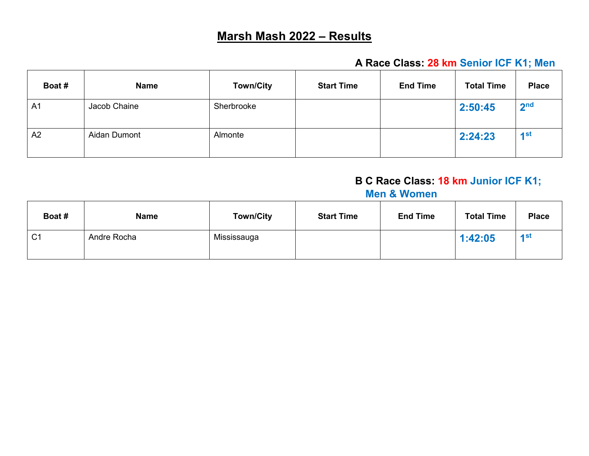# **Marsh Mash 2022 – Results**

#### **A Race Class: 28 km Senior ICF K1; Men**

| Boat #         | <b>Name</b>  | <b>Town/City</b> | <b>Start Time</b> | <b>End Time</b> | <b>Total Time</b> | <b>Place</b>    |
|----------------|--------------|------------------|-------------------|-----------------|-------------------|-----------------|
| A <sub>1</sub> | Jacob Chaine | Sherbrooke       |                   |                 | 2:50:45           | 2 <sub>nd</sub> |
| A2             | Aidan Dumont | Almonte          |                   |                 | 2:24:23           | 1st             |

## **B C Race Class: 18 km Junior ICF K1;**

#### **Men & Women**

| Boat #         | <b>Name</b> | <b>Town/City</b> | <b>Start Time</b> | <b>End Time</b> | <b>Total Time</b> | <b>Place</b> |
|----------------|-------------|------------------|-------------------|-----------------|-------------------|--------------|
| C <sub>1</sub> | Andre Rocha | Mississauga      |                   |                 | 1:42:05           | 4st          |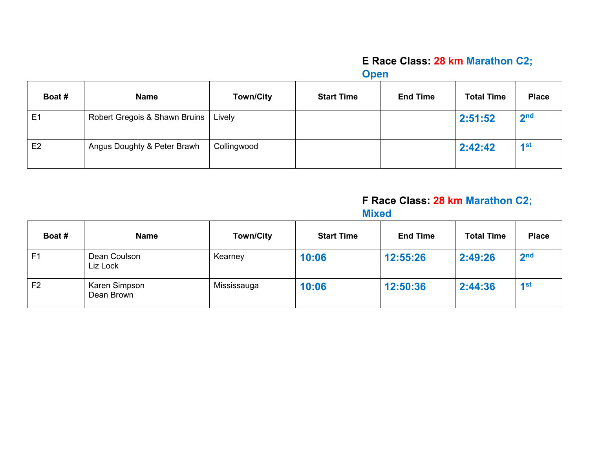## **E Race Class: 28 km Marathon C2;**

**Open**

| Boat #         | <b>Name</b>                   | <b>Town/City</b> | <b>Start Time</b> | <b>End Time</b> | <b>Total Time</b> | <b>Place</b>      |
|----------------|-------------------------------|------------------|-------------------|-----------------|-------------------|-------------------|
| E <sub>1</sub> | Robert Gregois & Shawn Bruins | Lively           |                   |                 | 2:51:52           | 2 <sub>nd</sub>   |
| E <sub>2</sub> | Angus Doughty & Peter Brawh   | Collingwood      |                   |                 | 2:42:42           | $\overline{1}$ st |

#### **F Race Class: 28 km Marathon C2; Mixed**

| Boat #         | <b>Name</b>                 | <b>Town/City</b> | <b>Start Time</b> | <b>End Time</b> | <b>Total Time</b> | <b>Place</b>    |
|----------------|-----------------------------|------------------|-------------------|-----------------|-------------------|-----------------|
| F <sub>1</sub> | Dean Coulson<br>Liz Lock    | Kearney          | 10:06             | 12:55:26        | 2:49:26           | 2 <sub>nd</sub> |
| F <sub>2</sub> | Karen Simpson<br>Dean Brown | Mississauga      | 10:06             | 12:50:36        | 2:44:36           | 4st             |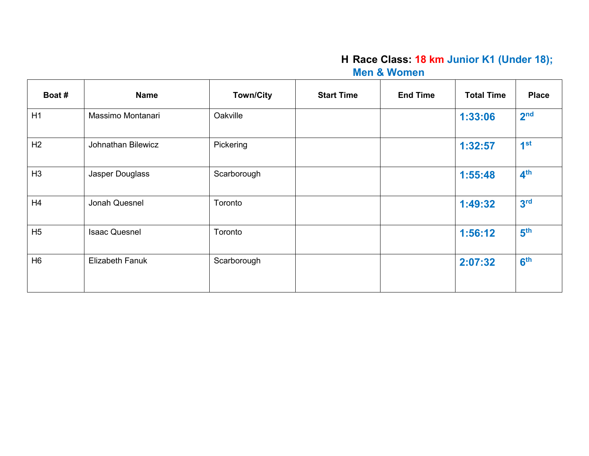#### **H Race Class: 18 km Junior K1 (Under 18); Men & Women**

| Boat #         | <b>Name</b>            | <b>Town/City</b> | <b>Start Time</b> | <b>End Time</b> | <b>Total Time</b> | <b>Place</b>    |
|----------------|------------------------|------------------|-------------------|-----------------|-------------------|-----------------|
| H1             | Massimo Montanari      | Oakville         |                   |                 | 1:33:06           | 2 <sub>nd</sub> |
| H <sub>2</sub> | Johnathan Bilewicz     | Pickering        |                   |                 | 1:32:57           | 1 <sup>st</sup> |
| H <sub>3</sub> | Jasper Douglass        | Scarborough      |                   |                 | 1:55:48           | 4 <sup>th</sup> |
| H4             | Jonah Quesnel          | Toronto          |                   |                 | 1:49:32           | 3 <sup>rd</sup> |
| H <sub>5</sub> | <b>Isaac Quesnel</b>   | Toronto          |                   |                 | 1:56:12           | 5 <sup>th</sup> |
| H <sub>6</sub> | <b>Elizabeth Fanuk</b> | Scarborough      |                   |                 | 2:07:32           | 6 <sup>th</sup> |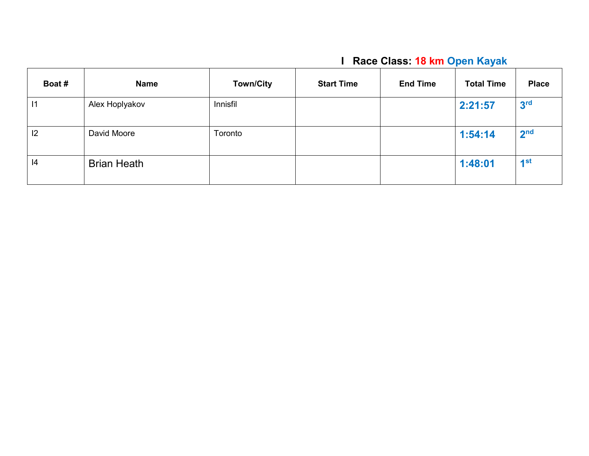# **I Race Class: 18 km Open Kayak**

| Boat # | <b>Name</b>        | <b>Town/City</b> | <b>Start Time</b> | <b>End Time</b> | <b>Total Time</b> | <b>Place</b>      |
|--------|--------------------|------------------|-------------------|-----------------|-------------------|-------------------|
| 11     | Alex Hoplyakov     | Innisfil         |                   |                 | 2:21:57           | 3 <sup>rd</sup>   |
| 12     | David Moore        | Toronto          |                   |                 | 1:54:14           | 2 <sub>nd</sub>   |
| 4      | <b>Brian Heath</b> |                  |                   |                 | 1:48:01           | $\overline{1}$ st |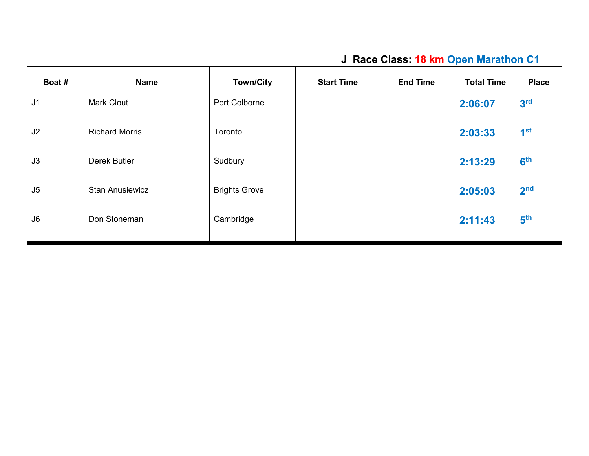# **J Race Class: 18 km Open Marathon C1**

| Boat #         | <b>Name</b>            | <b>Town/City</b>     | <b>Start Time</b> | <b>End Time</b> | <b>Total Time</b> | <b>Place</b>    |
|----------------|------------------------|----------------------|-------------------|-----------------|-------------------|-----------------|
| J <sub>1</sub> | <b>Mark Clout</b>      | Port Colborne        |                   |                 | 2:06:07           | 3 <sup>rd</sup> |
| J2             | <b>Richard Morris</b>  | Toronto              |                   |                 | 2:03:33           | 1 <sup>st</sup> |
| J3             | <b>Derek Butler</b>    | Sudbury              |                   |                 | 2:13:29           | 6 <sup>th</sup> |
| J <sub>5</sub> | <b>Stan Anusiewicz</b> | <b>Brights Grove</b> |                   |                 | 2:05:03           | 2 <sub>nd</sub> |
| J6             | Don Stoneman           | Cambridge            |                   |                 | 2:11:43           | 5 <sup>th</sup> |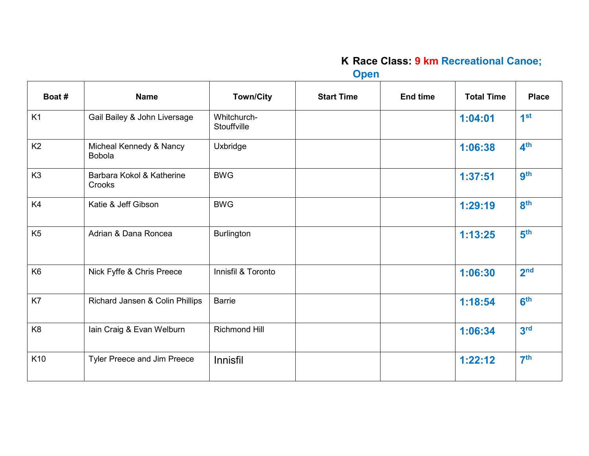## **K Race Class: 9 km Recreational Canoe;**

**Open**

| Boat #         | <b>Name</b>                              | <b>Town/City</b>           | <b>Start Time</b> | <b>End time</b> | <b>Total Time</b> | <b>Place</b>    |
|----------------|------------------------------------------|----------------------------|-------------------|-----------------|-------------------|-----------------|
| K1             | Gail Bailey & John Liversage             | Whitchurch-<br>Stouffville |                   |                 | 1:04:01           | 1 <sup>st</sup> |
| K <sub>2</sub> | Micheal Kennedy & Nancy<br><b>Bobola</b> | Uxbridge                   |                   |                 | 1:06:38           | 4 <sup>th</sup> |
| K <sub>3</sub> | Barbara Kokol & Katherine<br>Crooks      | <b>BWG</b>                 |                   |                 | 1:37:51           | <b>gth</b>      |
| K4             | Katie & Jeff Gibson                      | <b>BWG</b>                 |                   |                 | 1:29:19           | 8 <sup>th</sup> |
| K <sub>5</sub> | Adrian & Dana Roncea                     | <b>Burlington</b>          |                   |                 | 1:13:25           | 5 <sup>th</sup> |
| K <sub>6</sub> | Nick Fyffe & Chris Preece                | Innisfil & Toronto         |                   |                 | 1:06:30           | 2 <sub>nd</sub> |
| K7             | Richard Jansen & Colin Phillips          | <b>Barrie</b>              |                   |                 | 1:18:54           | 6 <sup>th</sup> |
| K <sub>8</sub> | Iain Craig & Evan Welburn                | <b>Richmond Hill</b>       |                   |                 | 1:06:34           | 3 <sup>rd</sup> |
| K10            | Tyler Preece and Jim Preece              | Innisfil                   |                   |                 | 1:22:12           | 7 <sup>th</sup> |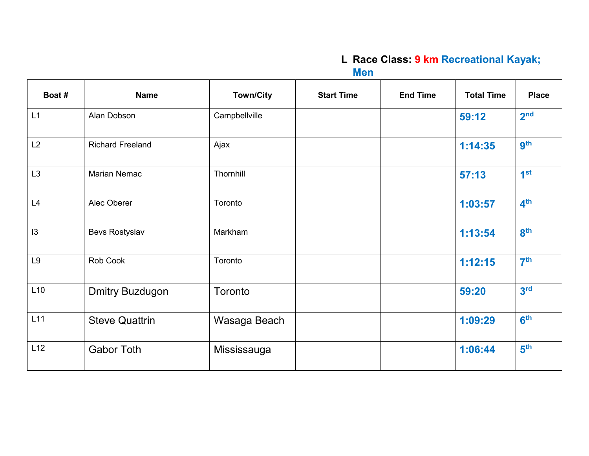# **L Race Class: 9 km Recreational Kayak;**

**Men**

| Boat #         | <b>Name</b>             | <b>Town/City</b> | <b>Start Time</b> | <b>End Time</b> | <b>Total Time</b> | <b>Place</b>    |
|----------------|-------------------------|------------------|-------------------|-----------------|-------------------|-----------------|
| L1             | Alan Dobson             | Campbellville    |                   |                 | 59:12             | 2 <sub>nd</sub> |
| L2             | <b>Richard Freeland</b> | Ajax             |                   |                 | 1:14:35           | <b>gth</b>      |
| L <sub>3</sub> | Marian Nemac            | Thornhill        |                   |                 | 57:13             | 1 <sup>st</sup> |
| L4             | Alec Oberer             | Toronto          |                   |                 | 1:03:57           | 4 <sup>th</sup> |
| 13             | Bevs Rostyslav          | Markham          |                   |                 | 1:13:54           | 8 <sup>th</sup> |
| L9             | Rob Cook                | Toronto          |                   |                 | 1:12:15           | 7 <sup>th</sup> |
| L10            | <b>Dmitry Buzdugon</b>  | Toronto          |                   |                 | 59:20             | 3 <sup>rd</sup> |
| L11            | <b>Steve Quattrin</b>   | Wasaga Beach     |                   |                 | 1:09:29           | 6 <sup>th</sup> |
| L12            | <b>Gabor Toth</b>       | Mississauga      |                   |                 | 1:06:44           | 5 <sup>th</sup> |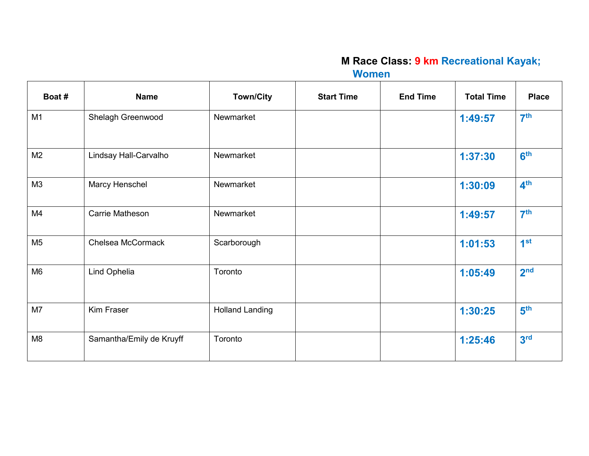#### **M Race Class: 9 km Recreational Kayak; Women**

| Boat #         | <b>Name</b>              | <b>Town/City</b>       | <b>Start Time</b> | <b>End Time</b> | <b>Total Time</b> | <b>Place</b>    |
|----------------|--------------------------|------------------------|-------------------|-----------------|-------------------|-----------------|
| M1             | Shelagh Greenwood        | Newmarket              |                   |                 | 1:49:57           | 7 <sup>th</sup> |
| M <sub>2</sub> | Lindsay Hall-Carvalho    | Newmarket              |                   |                 | 1:37:30           | 6 <sup>th</sup> |
| M3             | Marcy Henschel           | Newmarket              |                   |                 | 1:30:09           | 4 <sup>th</sup> |
| M4             | Carrie Matheson          | Newmarket              |                   |                 | 1:49:57           | 7 <sup>th</sup> |
| M <sub>5</sub> | Chelsea McCormack        | Scarborough            |                   |                 | 1:01:53           | 1 <sup>st</sup> |
| M <sub>6</sub> | Lind Ophelia             | Toronto                |                   |                 | 1:05:49           | 2 <sub>nd</sub> |
| M7             | Kim Fraser               | <b>Holland Landing</b> |                   |                 | 1:30:25           | 5 <sup>th</sup> |
| M <sub>8</sub> | Samantha/Emily de Kruyff | Toronto                |                   |                 | 1:25:46           | 3 <sup>rd</sup> |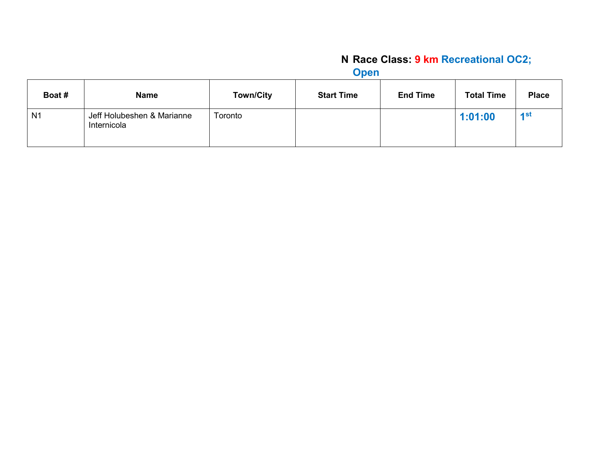# **N Race Class: 9 km Recreational OC2;**

**Open**

| Boat #         | <b>Name</b>                               | <b>Town/City</b> | <b>Start Time</b> | <b>End Time</b> | <b>Total Time</b> | <b>Place</b> |
|----------------|-------------------------------------------|------------------|-------------------|-----------------|-------------------|--------------|
| N <sub>1</sub> | Jeff Holubeshen & Marianne<br>Internicola | Toronto          |                   |                 | 1:01:00           | 1st          |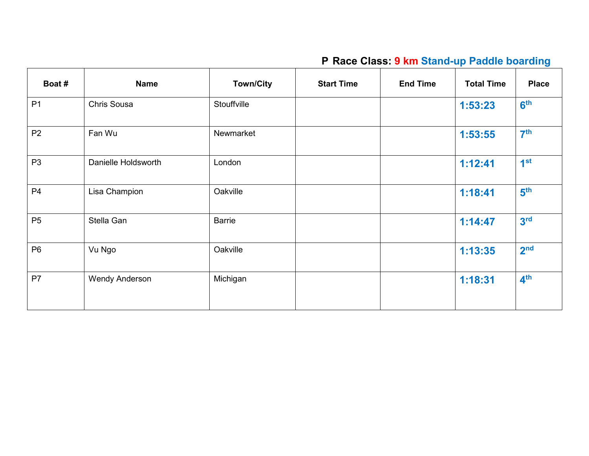# **P Race Class: 9 km Stand-up Paddle boarding**

| Boat #         | <b>Name</b>           | <b>Town/City</b> | <b>Start Time</b> | <b>End Time</b> | <b>Total Time</b> | <b>Place</b>    |
|----------------|-----------------------|------------------|-------------------|-----------------|-------------------|-----------------|
| P <sub>1</sub> | Chris Sousa           | Stouffville      |                   |                 | 1:53:23           | 6 <sup>th</sup> |
| P <sub>2</sub> | Fan Wu                | Newmarket        |                   |                 | 1:53:55           | 7 <sup>th</sup> |
| P <sub>3</sub> | Danielle Holdsworth   | London           |                   |                 | 1:12:41           | 1 <sup>st</sup> |
| P <sub>4</sub> | Lisa Champion         | Oakville         |                   |                 | 1:18:41           | 5 <sup>th</sup> |
| P <sub>5</sub> | Stella Gan            | <b>Barrie</b>    |                   |                 | 1:14:47           | 3 <sup>rd</sup> |
| P <sub>6</sub> | Vu Ngo                | Oakville         |                   |                 | 1:13:35           | 2 <sub>nd</sub> |
| P <sub>7</sub> | <b>Wendy Anderson</b> | Michigan         |                   |                 | 1:18:31           | 4 <sup>th</sup> |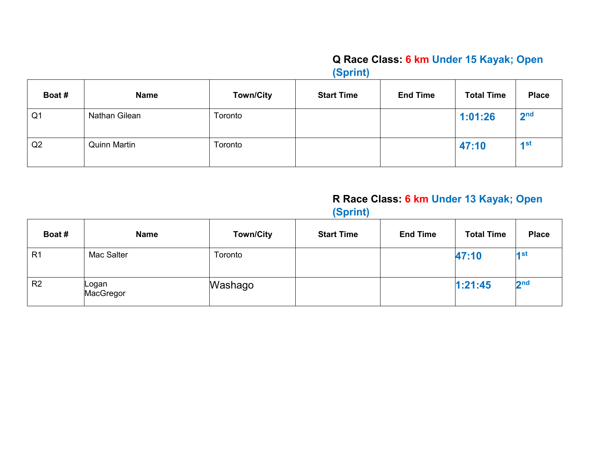#### **Q Race Class: 6 km Under 15 Kayak; Open (Sprint)**

| Boat #         | <b>Name</b>         | <b>Town/City</b> | <b>Start Time</b> | <b>End Time</b> | <b>Total Time</b> | <b>Place</b>    |
|----------------|---------------------|------------------|-------------------|-----------------|-------------------|-----------------|
| Q <sub>1</sub> | Nathan Gilean       | Toronto          |                   |                 | 1:01:26           | 2 <sub>nd</sub> |
| Q2             | <b>Quinn Martin</b> | Toronto          |                   |                 | 47:10             | 4 <sup>st</sup> |

#### **R Race Class: 6 km Under 13 Kayak; Open (Sprint)**

| Boat #         | <b>Name</b>         | <b>Town/City</b> | <b>Start Time</b> | <b>End Time</b> | <b>Total Time</b> | <b>Place</b>    |
|----------------|---------------------|------------------|-------------------|-----------------|-------------------|-----------------|
| R <sub>1</sub> | Mac Salter          | Toronto          |                   |                 | 47:10             | 4 st            |
| R <sub>2</sub> | ∣Logan<br>MacGregor | Washago          |                   |                 | 1:21:45           | 2 <sub>nd</sub> |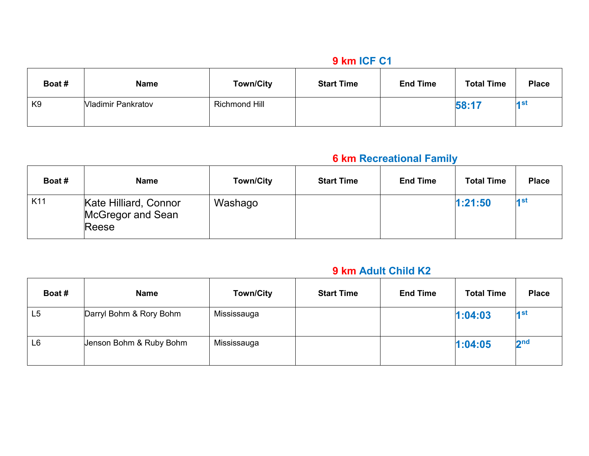#### **9 km ICF C1**

| Boat #         | <b>Name</b>               | <b>Town/City</b>     | <b>Start Time</b> | <b>End Time</b> | <b>Total Time</b> | <b>Place</b> |
|----------------|---------------------------|----------------------|-------------------|-----------------|-------------------|--------------|
| K <sub>9</sub> | <b>Vladimir Pankratov</b> | <b>Richmond Hill</b> |                   |                 | 58:17             | 4 st         |

## **6 km Recreational Family**

| Boat #          | <b>Name</b>                                         | <b>Town/City</b> | <b>Start Time</b> | <b>End Time</b> | <b>Total Time</b> | <b>Place</b>      |
|-----------------|-----------------------------------------------------|------------------|-------------------|-----------------|-------------------|-------------------|
| K <sub>11</sub> | Kate Hilliard, Connor<br>McGregor and Sean<br>Reese | Washago          |                   |                 | 1:21:50           | $\overline{4}$ st |

#### **9 km Adult Child K2**

| Boat #         | <b>Name</b>             | <b>Town/City</b> | <b>Start Time</b> | <b>End Time</b> | <b>Total Time</b> | <b>Place</b>    |
|----------------|-------------------------|------------------|-------------------|-----------------|-------------------|-----------------|
| L5             | Darryl Bohm & Rory Bohm | Mississauga      |                   |                 | 1:04:03           | 4 st            |
| L <sub>6</sub> | Jenson Bohm & Ruby Bohm | Mississauga      |                   |                 | 1:04:05           | 2 <sub>nd</sub> |